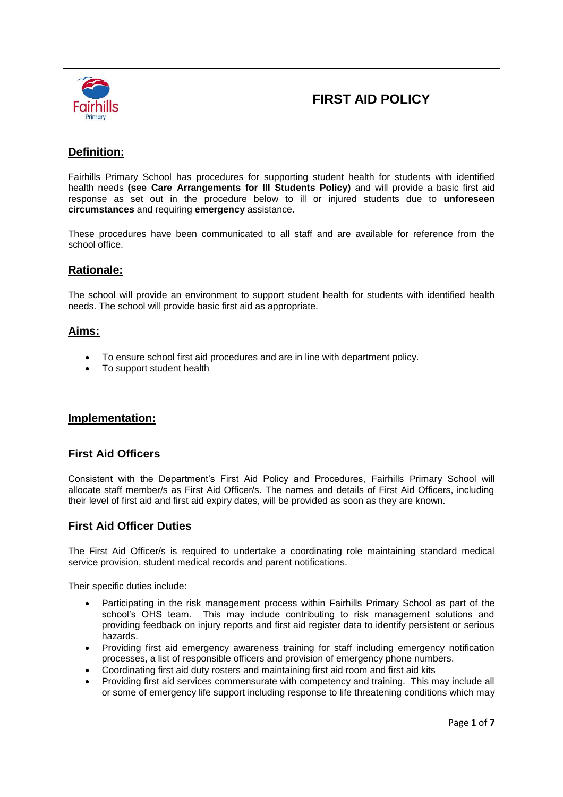

# **Definition:**

Fairhills Primary School has procedures for supporting student health for students with identified health needs **(see Care Arrangements for Ill Students Policy)** and will provide a basic first aid response as set out in the procedure below to ill or injured students due to **unforeseen circumstances** and requiring **emergency** assistance.

These procedures have been communicated to all staff and are available for reference from the school office.

# **Rationale:**

The school will provide an environment to support student health for students with identified health needs. The school will provide basic first aid as appropriate.

# **Aims:**

- To ensure school first aid procedures and are in line with department policy.
- To support student health

# **Implementation:**

# **First Aid Officers**

Consistent with the Department's First Aid Policy and Procedures, Fairhills Primary School will allocate staff member/s as First Aid Officer/s. The names and details of First Aid Officers, including their level of first aid and first aid expiry dates, will be provided as soon as they are known.

# **First Aid Officer Duties**

The First Aid Officer/s is required to undertake a coordinating role maintaining standard medical service provision, student medical records and parent notifications.

Their specific duties include:

- Participating in the risk management process within Fairhills Primary School as part of the school's OHS team. This may include contributing to risk management solutions and providing feedback on injury reports and first aid register data to identify persistent or serious hazards.
- Providing first aid emergency awareness training for staff including emergency notification processes, a list of responsible officers and provision of emergency phone numbers.
- Coordinating first aid duty rosters and maintaining first aid room and first aid kits
- Providing first aid services commensurate with competency and training. This may include all or some of emergency life support including response to life threatening conditions which may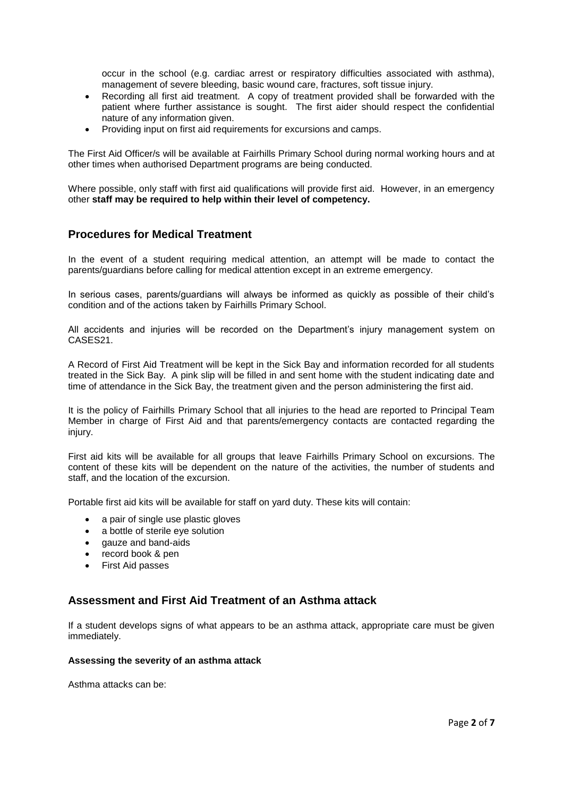occur in the school (e.g. cardiac arrest or respiratory difficulties associated with asthma), management of severe bleeding, basic wound care, fractures, soft tissue injury.

- Recording all first aid treatment. A copy of treatment provided shall be forwarded with the patient where further assistance is sought. The first aider should respect the confidential nature of any information given.
- Providing input on first aid requirements for excursions and camps.

The First Aid Officer/s will be available at Fairhills Primary School during normal working hours and at other times when authorised Department programs are being conducted.

Where possible, only staff with first aid qualifications will provide first aid. However, in an emergency other **staff may be required to help within their level of competency.**

# **Procedures for Medical Treatment**

In the event of a student requiring medical attention, an attempt will be made to contact the parents/guardians before calling for medical attention except in an extreme emergency.

In serious cases, parents/guardians will always be informed as quickly as possible of their child's condition and of the actions taken by Fairhills Primary School.

All accidents and injuries will be recorded on the Department's injury management system on CASES21.

A Record of First Aid Treatment will be kept in the Sick Bay and information recorded for all students treated in the Sick Bay. A pink slip will be filled in and sent home with the student indicating date and time of attendance in the Sick Bay, the treatment given and the person administering the first aid.

It is the policy of Fairhills Primary School that all injuries to the head are reported to Principal Team Member in charge of First Aid and that parents/emergency contacts are contacted regarding the injury.

First aid kits will be available for all groups that leave Fairhills Primary School on excursions. The content of these kits will be dependent on the nature of the activities, the number of students and staff, and the location of the excursion.

Portable first aid kits will be available for staff on yard duty. These kits will contain:

- a pair of single use plastic gloves
- a bottle of sterile eye solution
- gauze and band-aids
- record book & pen
- First Aid passes

# **Assessment and First Aid Treatment of an Asthma attack**

If a student develops signs of what appears to be an asthma attack, appropriate care must be given immediately.

#### **Assessing the severity of an asthma attack**

Asthma attacks can be: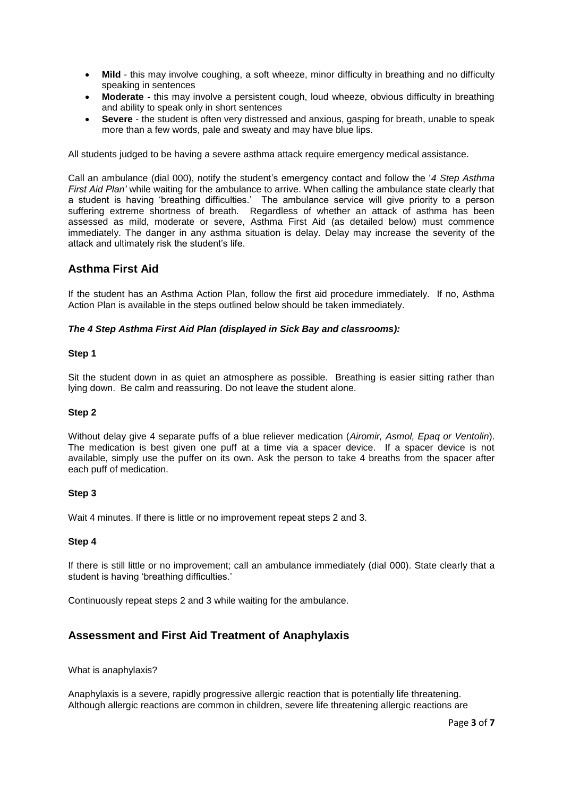- Mild this may involve coughing, a soft wheeze, minor difficulty in breathing and no difficulty speaking in sentences
- **Moderate** this may involve a persistent cough, loud wheeze, obvious difficulty in breathing and ability to speak only in short sentences
- **Severe**  the student is often very distressed and anxious, gasping for breath, unable to speak more than a few words, pale and sweaty and may have blue lips.

All students judged to be having a severe asthma attack require emergency medical assistance.

Call an ambulance (dial 000), notify the student's emergency contact and follow the '*4 Step Asthma First Aid Plan'* while waiting for the ambulance to arrive. When calling the ambulance state clearly that a student is having 'breathing difficulties.' The ambulance service will give priority to a person suffering extreme shortness of breath. Regardless of whether an attack of asthma has been assessed as mild, moderate or severe, Asthma First Aid (as detailed below) must commence immediately. The danger in any asthma situation is delay. Delay may increase the severity of the attack and ultimately risk the student's life.

# **Asthma First Aid**

If the student has an Asthma Action Plan, follow the first aid procedure immediately. If no, Asthma Action Plan is available in the steps outlined below should be taken immediately.

#### *The 4 Step Asthma First Aid Plan (displayed in Sick Bay and classrooms):*

#### **Step 1**

Sit the student down in as quiet an atmosphere as possible. Breathing is easier sitting rather than lying down. Be calm and reassuring. Do not leave the student alone.

#### **Step 2**

Without delay give 4 separate puffs of a blue reliever medication (*Airomir, Asmol, Epaq or Ventolin*). The medication is best given one puff at a time via a spacer device. If a spacer device is not available, simply use the puffer on its own. Ask the person to take 4 breaths from the spacer after each puff of medication.

#### **Step 3**

Wait 4 minutes. If there is little or no improvement repeat steps 2 and 3.

#### **Step 4**

If there is still little or no improvement; call an ambulance immediately (dial 000). State clearly that a student is having 'breathing difficulties.'

Continuously repeat steps 2 and 3 while waiting for the ambulance.

# **Assessment and First Aid Treatment of Anaphylaxis**

What is anaphylaxis?

Anaphylaxis is a severe, rapidly progressive allergic reaction that is potentially life threatening. Although allergic reactions are common in children, severe life threatening allergic reactions are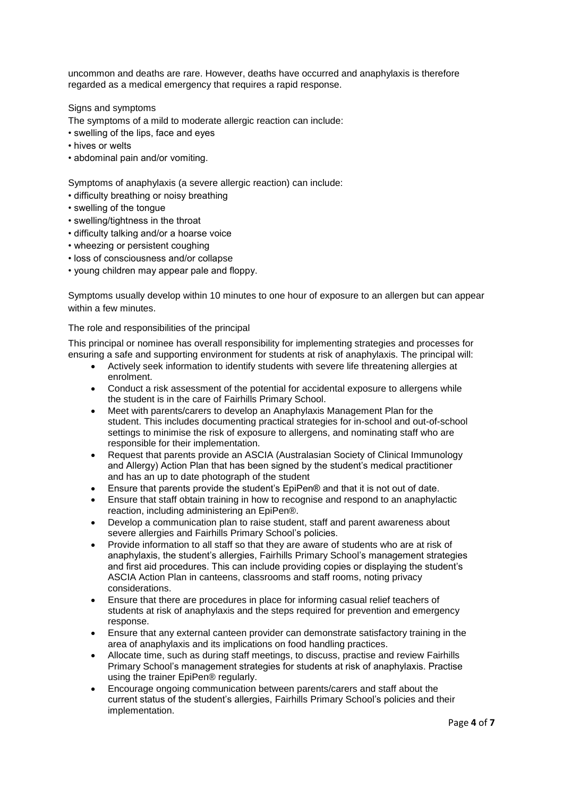uncommon and deaths are rare. However, deaths have occurred and anaphylaxis is therefore regarded as a medical emergency that requires a rapid response.

Signs and symptoms

The symptoms of a mild to moderate allergic reaction can include:

- swelling of the lips, face and eyes
- hives or welts
- abdominal pain and/or vomiting.

Symptoms of anaphylaxis (a severe allergic reaction) can include:

- difficulty breathing or noisy breathing
- swelling of the tongue
- swelling/tightness in the throat
- difficulty talking and/or a hoarse voice
- wheezing or persistent coughing
- loss of consciousness and/or collapse
- young children may appear pale and floppy.

Symptoms usually develop within 10 minutes to one hour of exposure to an allergen but can appear within a few minutes.

The role and responsibilities of the principal

This principal or nominee has overall responsibility for implementing strategies and processes for ensuring a safe and supporting environment for students at risk of anaphylaxis. The principal will:

- Actively seek information to identify students with severe life threatening allergies at enrolment.
- Conduct a risk assessment of the potential for accidental exposure to allergens while the student is in the care of Fairhills Primary School.
- Meet with parents/carers to develop an Anaphylaxis Management Plan for the student. This includes documenting practical strategies for in-school and out-of-school settings to minimise the risk of exposure to allergens, and nominating staff who are responsible for their implementation.
- Request that parents provide an ASCIA (Australasian Society of Clinical Immunology and Allergy) Action Plan that has been signed by the student's medical practitioner and has an up to date photograph of the student
- Ensure that parents provide the student's EpiPen® and that it is not out of date.
- Ensure that staff obtain training in how to recognise and respond to an anaphylactic reaction, including administering an EpiPen®.
- Develop a communication plan to raise student, staff and parent awareness about severe allergies and Fairhills Primary School's policies.
- Provide information to all staff so that they are aware of students who are at risk of anaphylaxis, the student's allergies, Fairhills Primary School's management strategies and first aid procedures. This can include providing copies or displaying the student's ASCIA Action Plan in canteens, classrooms and staff rooms, noting privacy considerations.
- Ensure that there are procedures in place for informing casual relief teachers of students at risk of anaphylaxis and the steps required for prevention and emergency response.
- Ensure that any external canteen provider can demonstrate satisfactory training in the area of anaphylaxis and its implications on food handling practices.
- Allocate time, such as during staff meetings, to discuss, practise and review Fairhills Primary School's management strategies for students at risk of anaphylaxis. Practise using the trainer EpiPen® regularly.
- Encourage ongoing communication between parents/carers and staff about the current status of the student's allergies, Fairhills Primary School's policies and their implementation.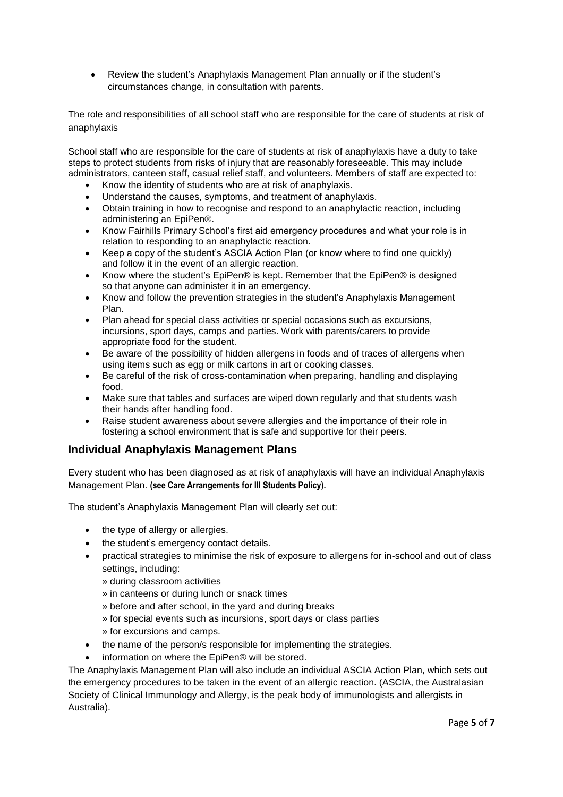• Review the student's Anaphylaxis Management Plan annually or if the student's circumstances change, in consultation with parents.

The role and responsibilities of all school staff who are responsible for the care of students at risk of anaphylaxis

School staff who are responsible for the care of students at risk of anaphylaxis have a duty to take steps to protect students from risks of injury that are reasonably foreseeable. This may include administrators, canteen staff, casual relief staff, and volunteers. Members of staff are expected to:

- Know the identity of students who are at risk of anaphylaxis.
- Understand the causes, symptoms, and treatment of anaphylaxis.
- Obtain training in how to recognise and respond to an anaphylactic reaction, including administering an EpiPen®.
- Know Fairhills Primary School's first aid emergency procedures and what your role is in relation to responding to an anaphylactic reaction.
- Keep a copy of the student's ASCIA Action Plan (or know where to find one quickly) and follow it in the event of an allergic reaction.
- Know where the student's EpiPen® is kept. Remember that the EpiPen® is designed so that anyone can administer it in an emergency.
- Know and follow the prevention strategies in the student's Anaphylaxis Management Plan.
- Plan ahead for special class activities or special occasions such as excursions, incursions, sport days, camps and parties. Work with parents/carers to provide appropriate food for the student.
- Be aware of the possibility of hidden allergens in foods and of traces of allergens when using items such as egg or milk cartons in art or cooking classes.
- Be careful of the risk of cross-contamination when preparing, handling and displaying food.
- Make sure that tables and surfaces are wiped down regularly and that students wash their hands after handling food.
- Raise student awareness about severe allergies and the importance of their role in fostering a school environment that is safe and supportive for their peers.

# **Individual Anaphylaxis Management Plans**

Every student who has been diagnosed as at risk of anaphylaxis will have an individual Anaphylaxis Management Plan. **(see Care Arrangements for Ill Students Policy).**

The student's Anaphylaxis Management Plan will clearly set out:

- the type of allergy or allergies.
- the student's emergency contact details.
- practical strategies to minimise the risk of exposure to allergens for in-school and out of class settings, including:
	- » during classroom activities
	- » in canteens or during lunch or snack times
	- » before and after school, in the yard and during breaks
	- » for special events such as incursions, sport days or class parties
	- » for excursions and camps.
- the name of the person/s responsible for implementing the strategies.
- information on where the EpiPen® will be stored.

The Anaphylaxis Management Plan will also include an individual ASCIA Action Plan, which sets out the emergency procedures to be taken in the event of an allergic reaction. (ASCIA, the Australasian Society of Clinical Immunology and Allergy, is the peak body of immunologists and allergists in Australia).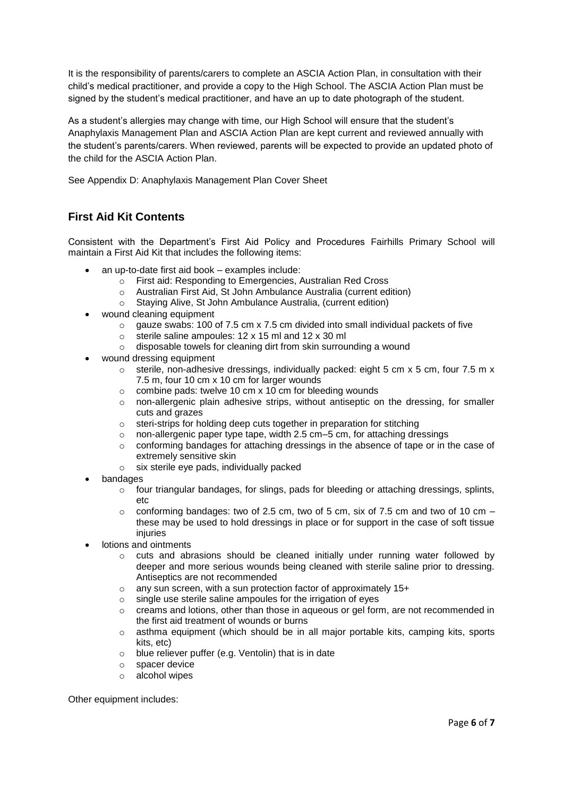It is the responsibility of parents/carers to complete an ASCIA Action Plan, in consultation with their child's medical practitioner, and provide a copy to the High School. The ASCIA Action Plan must be signed by the student's medical practitioner, and have an up to date photograph of the student.

As a student's allergies may change with time, our High School will ensure that the student's Anaphylaxis Management Plan and ASCIA Action Plan are kept current and reviewed annually with the student's parents/carers. When reviewed, parents will be expected to provide an updated photo of the child for the ASCIA Action Plan.

See Appendix D: Anaphylaxis Management Plan Cover Sheet

# **First Aid Kit Contents**

Consistent with the Department's First Aid Policy and Procedures Fairhills Primary School will maintain a First Aid Kit that includes the following items:

- an up-to-date first aid book examples include:
	- o First aid: Responding to Emergencies, Australian Red Cross
	- o Australian First Aid, St John Ambulance Australia (current edition)
	- o Staying Alive, St John Ambulance Australia, (current edition)
- wound cleaning equipment
	- $\circ$  gauze swabs: 100 of 7.5 cm x 7.5 cm divided into small individual packets of five
	- o sterile saline ampoules: 12 x 15 ml and 12 x 30 ml
	- o disposable towels for cleaning dirt from skin surrounding a wound
- wound dressing equipment
	- $\circ$  sterile, non-adhesive dressings, individually packed: eight 5 cm x 5 cm, four 7.5 m x 7.5 m, four 10 cm x 10 cm for larger wounds
	- $\circ$  combine pads: twelve 10 cm x 10 cm for bleeding wounds
	- $\circ$  non-allergenic plain adhesive strips, without antiseptic on the dressing, for smaller cuts and grazes
	- o steri-strips for holding deep cuts together in preparation for stitching
	- o non-allergenic paper type tape, width  $2.5$  cm– $5$  cm, for attaching dressings
	- $\circ$  conforming bandages for attaching dressings in the absence of tape or in the case of extremely sensitive skin
	- o six sterile eye pads, individually packed
- bandages
	- o four triangular bandages, for slings, pads for bleeding or attaching dressings, splints, etc
	- $\circ$  conforming bandages: two of 2.5 cm, two of 5 cm, six of 7.5 cm and two of 10 cm these may be used to hold dressings in place or for support in the case of soft tissue injuries
- lotions and ointments
	- $\circ$  cuts and abrasions should be cleaned initially under running water followed by deeper and more serious wounds being cleaned with sterile saline prior to dressing. Antiseptics are not recommended
	- o any sun screen, with a sun protection factor of approximately 15+
	- o single use sterile saline ampoules for the irrigation of eyes
	- $\circ$  creams and lotions, other than those in aqueous or gel form, are not recommended in the first aid treatment of wounds or burns
	- $\circ$  asthma equipment (which should be in all major portable kits, camping kits, sports kits, etc)
	- $\circ$  blue reliever puffer (e.g. Ventolin) that is in date
	- o spacer device
	- o alcohol wipes

Other equipment includes: